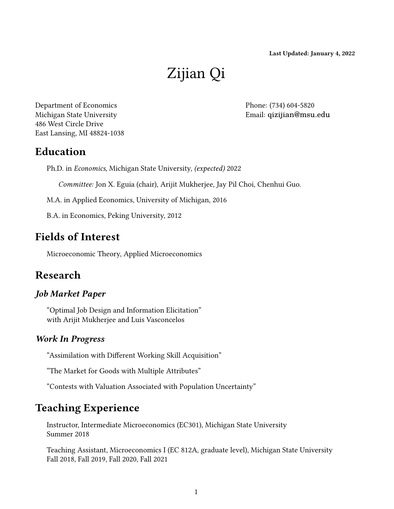Last Updated: January 4, 2022

# Zijian Qi

Department of Economics Michigan State University 486 West Circle Drive East Lansing, MI 48824-1038 Phone: (734) 604-5820 Email: [qizijian@msu.edu](mailto:qizijian@msu.edu)

## Education

Ph.D. in Economics, Michigan State University, (expected) 2022

Committee: Jon X. Eguia (chair), Arijit Mukherjee, Jay Pil Choi, Chenhui Guo.

M.A. in Applied Economics, University of Michigan, 2016

B.A. in Economics, Peking University, 2012

## Fields of Interest

Microeconomic Theory, Applied Microeconomics

## Research

#### Job Market Paper

"Optimal Job Design and Information Elicitation" with Arijit Mukherjee and Luis Vasconcelos

#### Work In Progress

"Assimilation with Different Working Skill Acquisition"

"The Market for Goods with Multiple Attributes"

"Contests with Valuation Associated with Population Uncertainty"

## Teaching Experience

Instructor, Intermediate Microeconomics (EC301), Michigan State University Summer 2018

Teaching Assistant, Microeconomics I (EC 812A, graduate level), Michigan State University Fall 2018, Fall 2019, Fall 2020, Fall 2021